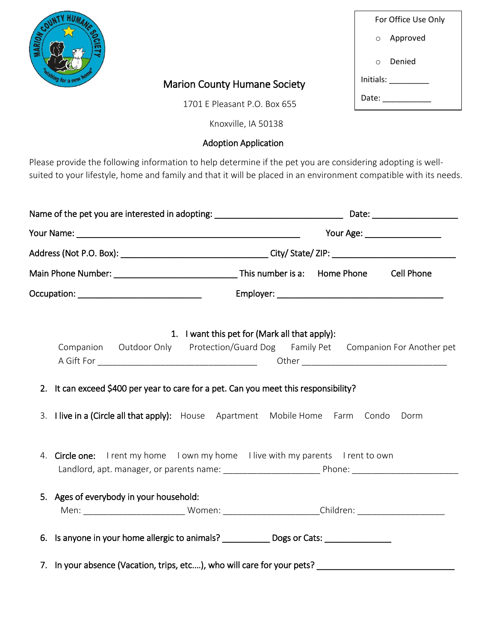

## Marion County Humane Society

1701 E Pleasant P.O. Box 655

Knoxville, IA 50138

## Adoption Application

Please provide the following information to help determine if the pet you are considering adopting is wellsuited to your lifestyle, home and family and that it will be placed in an environment compatible with its needs.

| Name of the pet you are interested in adopting: ________________________________ |                                                                                                            |  |                                               |  |  |  |  |
|----------------------------------------------------------------------------------|------------------------------------------------------------------------------------------------------------|--|-----------------------------------------------|--|--|--|--|
|                                                                                  |                                                                                                            |  |                                               |  |  |  |  |
|                                                                                  |                                                                                                            |  |                                               |  |  |  |  |
|                                                                                  |                                                                                                            |  |                                               |  |  |  |  |
|                                                                                  |                                                                                                            |  |                                               |  |  |  |  |
|                                                                                  | Companion Outdoor Only Protection/Guard Dog Family Pet Companion For Another pet                           |  | 1. I want this pet for (Mark all that apply): |  |  |  |  |
|                                                                                  | 2. It can exceed \$400 per year to care for a pet. Can you meet this responsibility?                       |  |                                               |  |  |  |  |
|                                                                                  | 3. I live in a (Circle all that apply): House Apartment Mobile Home Farm Condo Dorm                        |  |                                               |  |  |  |  |
|                                                                                  | 4. Circle one: I rent my home I own my home I live with my parents I rent to own                           |  |                                               |  |  |  |  |
|                                                                                  | 5. Ages of everybody in your household:                                                                    |  |                                               |  |  |  |  |
|                                                                                  | 6. Is anyone in your home allergic to animals? _____________ Dogs or Cats: ________________________        |  |                                               |  |  |  |  |
|                                                                                  | 7. In your absence (Vacation, trips, etc), who will care for your pets? __________________________________ |  |                                               |  |  |  |  |

|           | For Office Use Only |  |  |  |  |  |  |
|-----------|---------------------|--|--|--|--|--|--|
|           | o Approved          |  |  |  |  |  |  |
| $\cap$    | Denied              |  |  |  |  |  |  |
| Initials: |                     |  |  |  |  |  |  |
| Date:     |                     |  |  |  |  |  |  |